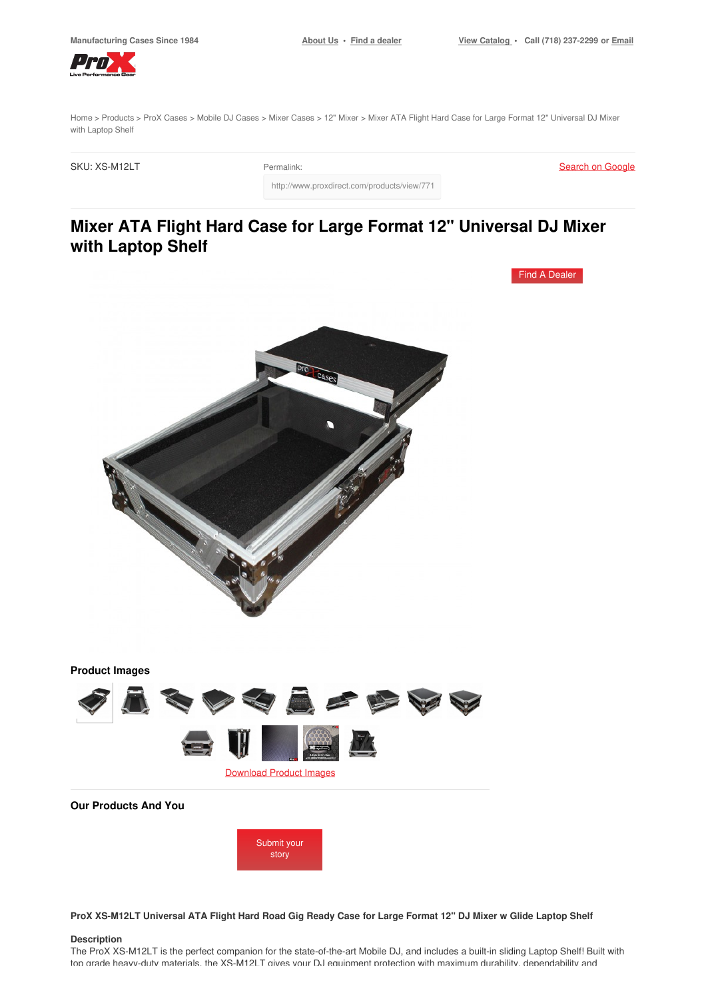Find A [Dealer](https://www.proxdirect.com/dealer/locator/)



[Home](https://www.proxdirect.com/) > [Products](https://www.proxdirect.com/products/) > ProX [Cases](https://www.proxdirect.com/products/browse/category/ProX-Cases) > [Mobile](https://www.proxdirect.com/products/browse/category/Mobile-DJ-Cases) DJ Cases > Mixer [Cases](https://www.proxdirect.com/products/browse/category/Mixer-Cases) > 12" [Mixer](https://www.proxdirect.com/products/browse/category/12-Mixer) > Mixer ATA Flight Hard Case for Large Format 12" Universal DJ Mixer with Laptop Shelf

http://www.proxdirect.com/products/view/771

SKU: XS-M12LT Permalink:

Search on [Google](https://www.google.com/search?q=XS-M12LT)

# **Mixer ATA Flight Hard Case for Large Format 12" Universal DJ Mixer with Laptop Shelf**



ProX XS-M12LT Universal ATA Flight Hard Road Gig Ready Case for Large Format 12" DJ Mixer w Glide Laptop Shelf

#### **Description**

The ProX XS-M12LT is the perfect companion for the state-of-the-art Mobile DJ, and includes a built-in sliding Laptop Shelf! Built with top grade heavy-duty materials, the XS-M12LT gives your DJ equipment protection with maximum durability, dependability and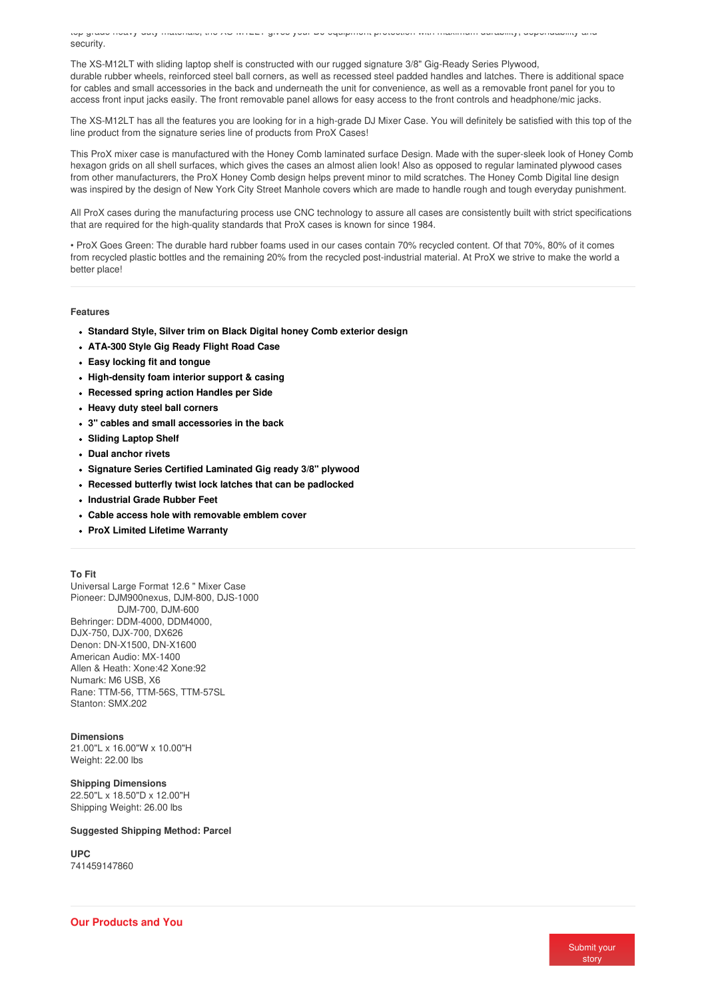<span id="page-1-0"></span>top grade heavy-duty materials, the XS-M12LT gives your DJ equipment protection with maximum durability, dependability and security.

The XS-M12LT with sliding laptop shelf is constructed with our rugged signature 3/8" Gig-Ready Series Plywood, durable rubber wheels, reinforced steel ball corners, as well as recessed steel padded handles and latches. There is additional space for cables and small accessories in the back and underneath the unit for convenience, as well as a removable front panel for you to access front input jacks easily. The front removable panel allows for easy access to the front controls and headphone/mic jacks.

The XS-M12LT has all the features you are looking for in a high-grade DJ Mixer Case. You will definitely be satisfied with this top of the line product from the signature series line of products from ProX Cases!

This ProX mixer case is manufactured with the Honey Comb laminated surface Design. Made with the super-sleek look of Honey Comb hexagon grids on all shell surfaces, which gives the cases an almost alien look! Also as opposed to regular laminated plywood cases from other manufacturers, the ProX Honey Comb design helps prevent minor to mild scratches. The Honey Comb Digital line design was inspired by the design of New York City Street Manhole covers which are made to handle rough and tough everyday punishment.

All ProX cases during the manufacturing process use CNC technology to assure all cases are consistently built with strict specifications that are required for the high-quality standards that ProX cases is known for since 1984.

• ProX Goes Green: The durable hard rubber foams used in our cases contain 70% recycled content. Of that 70%, 80% of it comes from recycled plastic bottles and the remaining 20% from the recycled post-industrial material. At ProX we strive to make the world a better place!

#### **Features**

- **Standard Style, Silver trim on Black Digital honey Comb exterior design**
- **ATA-300 Style Gig Ready Flight Road Case**
- **Easy locking fit and tongue**
- **High-density foam interior support & casing**
- **Recessed spring action Handles per Side**
- **Heavy duty steel ball corners**
- **3" cables and small accessories in the back**
- **Sliding Laptop Shelf**
- **Dual anchor rivets**
- **Signature Series Certified Laminated Gig ready 3/8" plywood**
- **Recessed butterfly twist lock latches that can be padlocked**
- **Industrial Grade Rubber Feet**
- **Cable access hole with removable emblem cover**
- **ProX Limited Lifetime Warranty**

#### **To Fit**

Universal Large Format 12.6 " Mixer Case Pioneer: DJM900nexus, DJM-800, DJS-1000 DJM-700, DJM-600 Behringer: DDM-4000, DDM4000, DJX-750, DJX-700, DX626 Denon: DN-X1500, DN-X1600 American Audio: MX-1400 Allen & Heath: Xone:42 Xone:92 Numark: M6 USB, X6 Rane: TTM-56, TTM-56S, TTM-57SL Stanton: SMX 202

#### **Dimensions**

21.00"L x 16.00"W x 10.00"H Weight: 22.00 lbs

#### **Shipping Dimensions**

22.50"L x 18.50"D x 12.00"H Shipping Weight: 26.00 lbs

#### **Suggested Shipping Method: Parcel**

**UPC** 741459147860